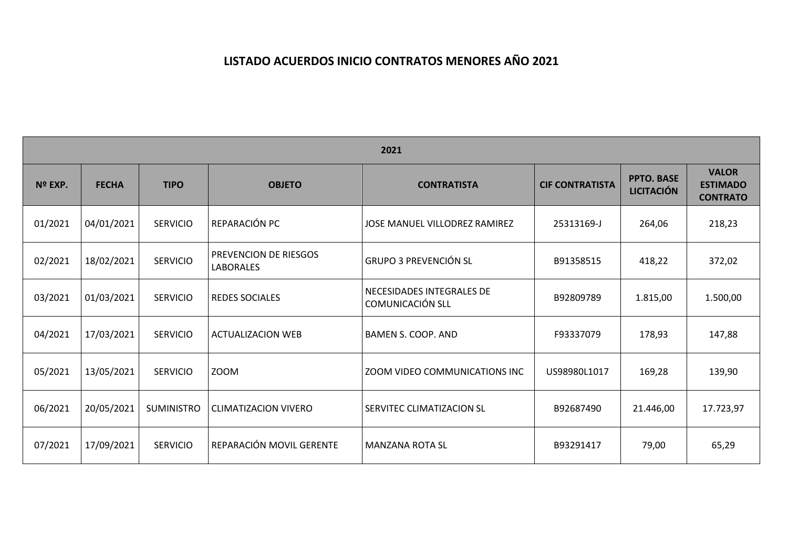## **LISTADO ACUERDOS INICIO CONTRATOS MENORES AÑO 2021**

| 2021    |              |                   |                                           |                                               |                        |                                        |                                                    |  |  |  |  |
|---------|--------------|-------------------|-------------------------------------------|-----------------------------------------------|------------------------|----------------------------------------|----------------------------------------------------|--|--|--|--|
| Nº EXP. | <b>FECHA</b> | <b>TIPO</b>       | <b>OBJETO</b>                             | <b>CONTRATISTA</b>                            | <b>CIF CONTRATISTA</b> | <b>PPTO. BASE</b><br><b>LICITACIÓN</b> | <b>VALOR</b><br><b>ESTIMADO</b><br><b>CONTRATO</b> |  |  |  |  |
| 01/2021 | 04/01/2021   | <b>SERVICIO</b>   | REPARACIÓN PC                             | JOSE MANUEL VILLODREZ RAMIREZ                 | 25313169-J             | 264,06                                 | 218,23                                             |  |  |  |  |
| 02/2021 | 18/02/2021   | <b>SERVICIO</b>   | PREVENCION DE RIESGOS<br><b>LABORALES</b> | <b>GRUPO 3 PREVENCIÓN SL</b>                  | B91358515              | 418,22                                 | 372,02                                             |  |  |  |  |
| 03/2021 | 01/03/2021   | <b>SERVICIO</b>   | <b>REDES SOCIALES</b>                     | NECESIDADES INTEGRALES DE<br>COMUNICACIÓN SLL | B92809789              | 1.815,00                               | 1.500,00                                           |  |  |  |  |
| 04/2021 | 17/03/2021   | <b>SERVICIO</b>   | <b>ACTUALIZACION WEB</b>                  | BAMEN S. COOP. AND                            | F93337079              | 178,93                                 | 147,88                                             |  |  |  |  |
| 05/2021 | 13/05/2021   | <b>SERVICIO</b>   | <b>ZOOM</b>                               | ZOOM VIDEO COMMUNICATIONS INC                 | US98980L1017           | 169,28                                 | 139,90                                             |  |  |  |  |
| 06/2021 | 20/05/2021   | <b>SUMINISTRO</b> | <b>CLIMATIZACION VIVERO</b>               | SERVITEC CLIMATIZACION SL                     | B92687490              | 21.446,00                              | 17.723,97                                          |  |  |  |  |
| 07/2021 | 17/09/2021   | <b>SERVICIO</b>   | REPARACIÓN MOVIL GERENTE                  | <b>MANZANA ROTA SL</b>                        | B93291417              | 79,00                                  | 65,29                                              |  |  |  |  |